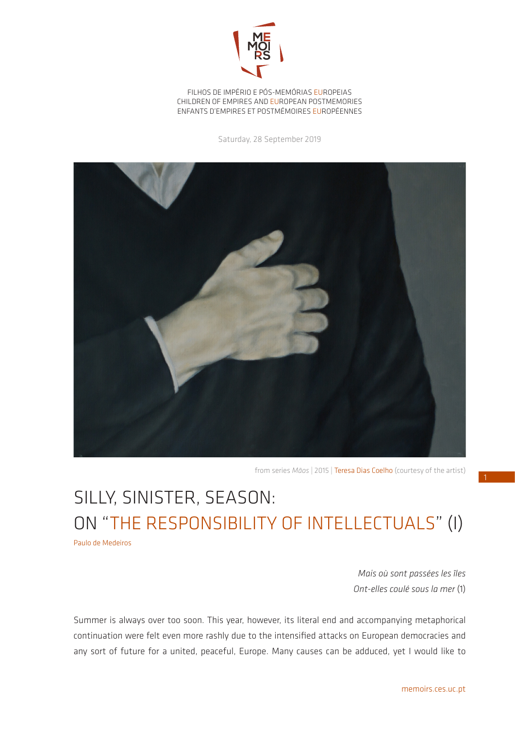

FILHOS DE IMPÉRIO E PÓS-MEMÓRIAS EUROPEIAS CHILDREN OF EMPIRES AND EUROPEAN POSTMEMORIES ENFANTS D'EMPIRES ET POSTMÉMOIRES EUROPÉENNES

Saturday, 28 September 2019



from series *Mãos* | 2015 | Teresa Dias Coelho (courtesy of the artist)

## SILLY, SINISTER, SEASON: ON "THE RESPONSIBILITY OF INTELLECTUALS" (I) Paulo de Medeiros

*Mais où sont passées les îles Ont-elles coulé sous la mer* (1)

Summer is always over too soon. This year, however, its literal end and accompanying metaphorical continuation were felt even more rashly due to the intensified attacks on European democracies and any sort of future for a united, peaceful, Europe. Many causes can be adduced, yet I would like to

1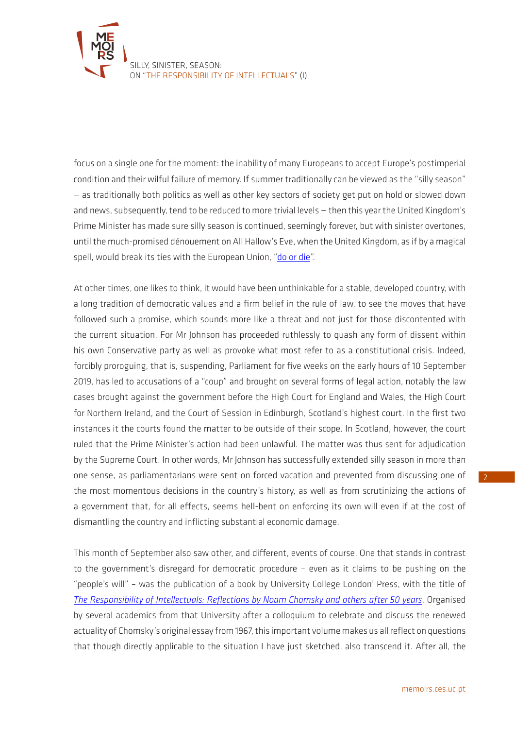

focus on a single one for the moment: the inability of many Europeans to accept Europe's postimperial condition and their wilful failure of memory. If summer traditionally can be viewed as the "silly season" — as traditionally both politics as well as other key sectors of society get put on hold or slowed down and news, subsequently, tend to be reduced to more trivial levels — then this year the United Kingdom's Prime Minister has made sure silly season is continued, seemingly forever, but with sinister overtones, until the much-promised dénouement on All Hallow's Eve, when the United Kingdom, as if by a magical spell, would break its ties with the European Union, "[do or die"](https://www.ft.com/content/403eafe6-972c-11e9-8cfb-30c211dcd229).

At other times, one likes to think, it would have been unthinkable for a stable, developed country, with a long tradition of democratic values and a firm belief in the rule of law, to see the moves that have followed such a promise, which sounds more like a threat and not just for those discontented with the current situation. For Mr Johnson has proceeded ruthlessly to quash any form of dissent within his own Conservative party as well as provoke what most refer to as a constitutional crisis. Indeed, forcibly proroguing, that is, suspending, Parliament for five weeks on the early hours of 10 September 2019, has led to accusations of a "coup" and brought on several forms of legal action, notably the law cases brought against the government before the High Court for England and Wales, the High Court for Northern Ireland, and the Court of Session in Edinburgh, Scotland's highest court. In the first two instances it the courts found the matter to be outside of their scope. In Scotland, however, the court ruled that the Prime Minister's action had been unlawful. The matter was thus sent for adjudication by the Supreme Court. In other words, Mr Johnson has successfully extended silly season in more than one sense, as parliamentarians were sent on forced vacation and prevented from discussing one of the most momentous decisions in the country's history, as well as from scrutinizing the actions of a government that, for all effects, seems hell-bent on enforcing its own will even if at the cost of dismantling the country and inflicting substantial economic damage.

This month of September also saw other, and different, events of course. One that stands in contrast to the government's disregard for democratic procedure – even as it claims to be pushing on the "people's will" – was the publication of a book by University College London' Press, with the title of *[The Responsibility of Intellectuals: Reflections by Noam Chomsky and others after 50 years](https://www.uclpress.co.uk/products/123963)*. Organised by several academics from that University after a colloquium to celebrate and discuss the renewed actuality of Chomsky's original essay from 1967, this important volume makes us all reflect on questions that though directly applicable to the situation I have just sketched, also transcend it. After all, the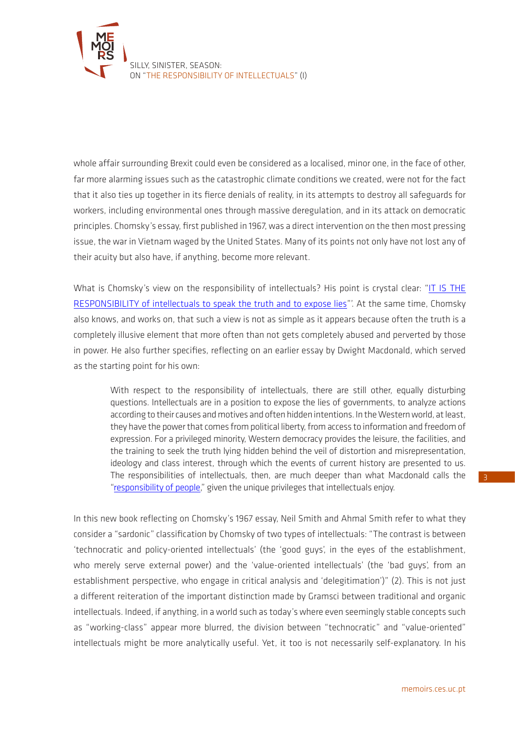

whole affair surrounding Brexit could even be considered as a localised, minor one, in the face of other, far more alarming issues such as the catastrophic climate conditions we created, were not for the fact that it also ties up together in its fierce denials of reality, in its attempts to destroy all safeguards for workers, including environmental ones through massive deregulation, and in its attack on democratic principles. Chomsky's essay, first published in 1967, was a direct intervention on the then most pressing issue, the war in Vietnam waged by the United States. Many of its points not only have not lost any of their acuity but also have, if anything, become more relevant.

What is Chomsky's view on the responsibility of intellectuals? His point is crystal clear: "IT IS THE [RESPONSIBILITY of intellectuals to speak the truth and to expose lies](https://chomsky.info/19670223/)"'. At the same time, Chomsky also knows, and works on, that such a view is not as simple as it appears because often the truth is a completely illusive element that more often than not gets completely abused and perverted by those in power. He also further specifies, reflecting on an earlier essay by Dwight Macdonald, which served as the starting point for his own:

With respect to the responsibility of intellectuals, there are still other, equally disturbing questions. Intellectuals are in a position to expose the lies of governments, to analyze actions according to their causes and motives and often hidden intentions. In the Western world, at least, they have the power that comes from political liberty, from access to information and freedom of expression. For a privileged minority, Western democracy provides the leisure, the facilities, and the training to seek the truth lying hidden behind the veil of distortion and misrepresentation, ideology and class interest, through which the events of current history are presented to us. The responsibilities of intellectuals, then, are much deeper than what Macdonald calls the "[responsibility of people,](https://chomsky.info/19670223/)" given the unique privileges that intellectuals enjoy.

In this new book reflecting on Chomsky's 1967 essay, Neil Smith and Ahmal Smith refer to what they consider a "sardonic" classification by Chomsky of two types of intellectuals: "The contrast is between 'technocratic and policy-oriented intellectuals' (the 'good guys', in the eyes of the establishment, who merely serve external power) and the 'value-oriented intellectuals' (the 'bad guys', from an establishment perspective, who engage in critical analysis and 'delegitimation')" (2). This is not just a different reiteration of the important distinction made by Gramsci between traditional and organic intellectuals. Indeed, if anything, in a world such as today's where even seemingly stable concepts such as "working-class" appear more blurred, the division between "technocratic" and "value-oriented" intellectuals might be more analytically useful. Yet, it too is not necessarily self-explanatory. In his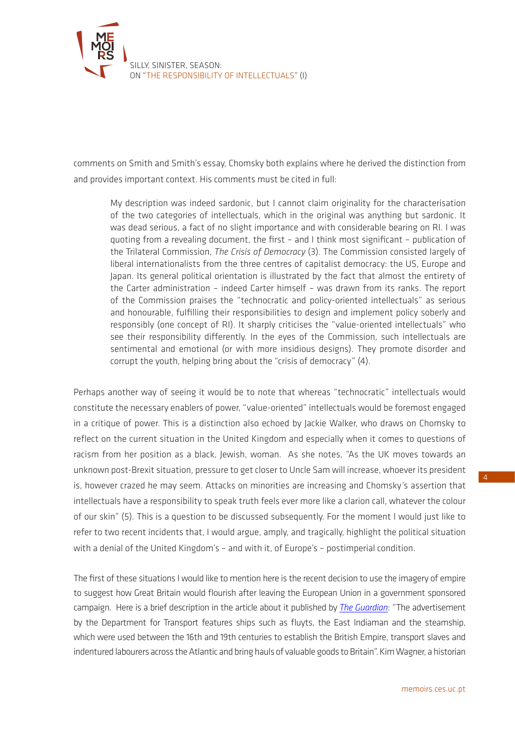

comments on Smith and Smith's essay, Chomsky both explains where he derived the distinction from and provides important context. His comments must be cited in full:

My description was indeed sardonic, but I cannot claim originality for the characterisation of the two categories of intellectuals, which in the original was anything but sardonic. It was dead serious, a fact of no slight importance and with considerable bearing on RI. I was quoting from a revealing document, the first – and I think most significant – publication of the Trilateral Commission, *The Crisis of Democracy* (3)*.* The Commission consisted largely of liberal internationalists from the three centres of capitalist democracy: the US, Europe and Japan. Its general political orientation is illustrated by the fact that almost the entirety of the Carter administration – indeed Carter himself – was drawn from its ranks. The report of the Commission praises the "technocratic and policy-oriented intellectuals" as serious and honourable, fulfilling their responsibilities to design and implement policy soberly and responsibly (one concept of RI). It sharply criticises the "value-oriented intellectuals" who see their responsibility differently. In the eyes of the Commission, such intellectuals are sentimental and emotional (or with more insidious designs). They promote disorder and corrupt the youth, helping bring about the "crisis of democracy" (4).

Perhaps another way of seeing it would be to note that whereas "technocratic" intellectuals would constitute the necessary enablers of power, "value-oriented" intellectuals would be foremost engaged in a critique of power. This is a distinction also echoed by Jackie Walker, who draws on Chomsky to reflect on the current situation in the United Kingdom and especially when it comes to questions of racism from her position as a black, Jewish, woman. As she notes, "As the UK moves towards an unknown post-Brexit situation, pressure to get closer to Uncle Sam will increase, whoever its president is, however crazed he may seem. Attacks on minorities are increasing and Chomsky's assertion that intellectuals have a responsibility to speak truth feels ever more like a clarion call, whatever the colour of our skin" (5). This is a question to be discussed subsequently. For the moment I would just like to refer to two recent incidents that, I would argue, amply, and tragically, highlight the political situation with a denial of the United Kingdom's – and with it, of Europe's – postimperial condition.

The first of these situations I would like to mention here is the recent decision to use the imagery of empire to suggest how Great Britain would flourish after leaving the European Union in a government sponsored campaign. Here is a brief description in the article about it published by *[The Guardian](https://www.theguardian.com/business/2019/sep/13/tone-deaf-ads-use-slave-ship-images-to-promote-uk-sea-trade)*: "The advertisement by the Department for Transport features ships such as fluyts, the East Indiaman and the steamship, which were used between the 16th and 19th centuries to establish the British Empire, transport slaves and indentured labourers across the Atlantic and bring hauls of valuable goods to Britain". Kim Wagner, a historian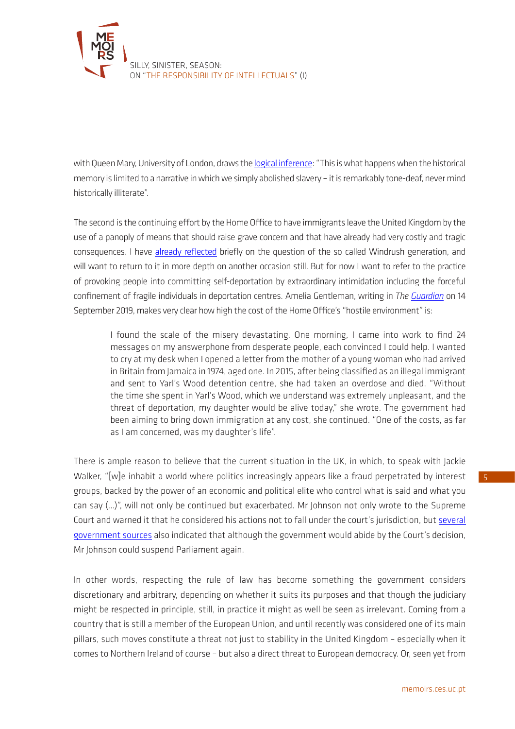

with Queen Mary, University of London, draws the [logical inference](https://www.theguardian.com/business/2019/sep/13/tone-deaf-ads-use-slave-ship-images-to-promote-uk-sea-trade): "This is what happens when the historical memory is limited to a narrative in which we simply abolished slavery – it is remarkably tone-deaf, never mind historically illiterate".

The second is the continuing effort by the Home Office to have immigrants leave the United Kingdom by the use of a panoply of means that should raise grave concern and that have already had very costly and tragic consequences. I have [already reflected](http://memoirs.ces.uc.pt/ficheiros/4_RESULTS_AND_IMPACT/4.3_NEWSLETTER/MEMOIRS_newsletter_61_PM_en.pdf) briefly on the question of the so-called Windrush generation, and will want to return to it in more depth on another occasion still. But for now I want to refer to the practice of provoking people into committing self-deportation by extraordinary intimidation including the forceful confinement of fragile individuals in deportation centres. Amelia Gentleman, writing in *The [Guardian](https://www.theguardian.com/uk-news/2019/sep/14/scale-misery-devastating-inside-story-reporting-windrush-scandal)* on 14 September 2019, makes very clear how high the cost of the Home Office's "hostile environment" is:

I found the scale of the misery devastating. One morning, I came into work to find 24 messages on my answerphone from desperate people, each convinced I could help. I wanted to cry at my desk when I opened a letter from the mother of a young woman who had arrived in Britain from Jamaica in 1974, aged one. In 2015, after being classified as an illegal immigrant and sent to Yarl's Wood detention centre, she had taken an overdose and died. "Without the time she spent in Yarl's Wood, which we understand was extremely unpleasant, and the threat of deportation, my daughter would be alive today," she wrote. The government had been aiming to bring down immigration at any cost, she continued. "One of the costs, as far as I am concerned, was my daughter's life".

There is ample reason to believe that the current situation in the UK, in which, to speak with Jackie Walker, "[w]e inhabit a world where politics increasingly appears like a fraud perpetrated by interest groups, backed by the power of an economic and political elite who control what is said and what you can say (…)", will not only be continued but exacerbated. Mr Johnson not only wrote to the Supreme Court and warned it that he considered his actions not to fall under the court's jurisdiction, but [several](https://www.bbc.com/news/uk-politics-49786644)  [government sources](https://www.bbc.com/news/uk-politics-49786644) also indicated that although the government would abide by the Court's decision, Mr Johnson could suspend Parliament again.

In other words, respecting the rule of law has become something the government considers discretionary and arbitrary, depending on whether it suits its purposes and that though the judiciary might be respected in principle, still, in practice it might as well be seen as irrelevant. Coming from a country that is still a member of the European Union, and until recently was considered one of its main pillars, such moves constitute a threat not just to stability in the United Kingdom – especially when it comes to Northern Ireland of course – but also a direct threat to European democracy. Or, seen yet from